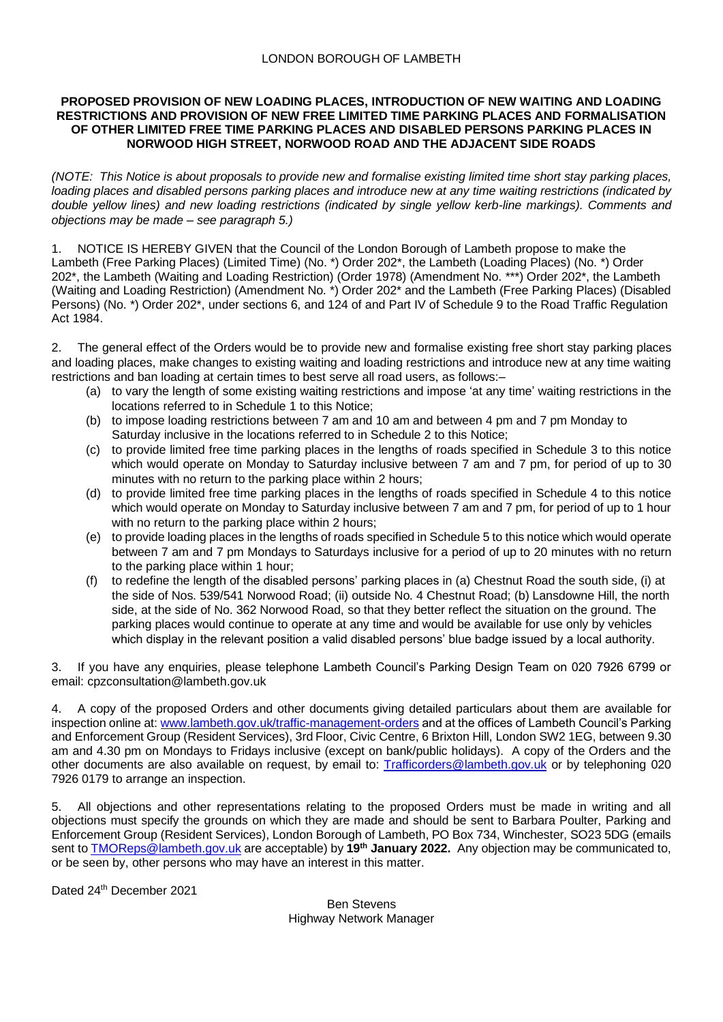### **PROPOSED PROVISION OF NEW LOADING PLACES, INTRODUCTION OF NEW WAITING AND LOADING RESTRICTIONS AND PROVISION OF NEW FREE LIMITED TIME PARKING PLACES AND FORMALISATION OF OTHER LIMITED FREE TIME PARKING PLACES AND DISABLED PERSONS PARKING PLACES IN NORWOOD HIGH STREET, NORWOOD ROAD AND THE ADJACENT SIDE ROADS**

*(NOTE: This Notice is about proposals to provide new and formalise existing limited time short stay parking places, loading places and disabled persons parking places and introduce new at any time waiting restrictions (indicated by double yellow lines) and new loading restrictions (indicated by single yellow kerb-line markings). Comments and objections may be made – see paragraph 5.)*

1. NOTICE IS HEREBY GIVEN that the Council of the London Borough of Lambeth propose to make the Lambeth (Free Parking Places) (Limited Time) (No. \*) Order 202\*, the Lambeth (Loading Places) (No. \*) Order 202\*, the Lambeth (Waiting and Loading Restriction) (Order 1978) (Amendment No. \*\*\*) Order 202\*, the Lambeth (Waiting and Loading Restriction) (Amendment No. \*) Order 202\* and the Lambeth (Free Parking Places) (Disabled Persons) (No. \*) Order 202\*, under sections 6, and 124 of and Part IV of Schedule 9 to the Road Traffic Regulation Act 1984.

2. The general effect of the Orders would be to provide new and formalise existing free short stay parking places and loading places, make changes to existing waiting and loading restrictions and introduce new at any time waiting restrictions and ban loading at certain times to best serve all road users, as follows:–

- (a) to vary the length of some existing waiting restrictions and impose 'at any time' waiting restrictions in the locations referred to in Schedule 1 to this Notice;
- (b) to impose loading restrictions between 7 am and 10 am and between 4 pm and 7 pm Monday to Saturday inclusive in the locations referred to in Schedule 2 to this Notice;
- (c) to provide limited free time parking places in the lengths of roads specified in Schedule 3 to this notice which would operate on Monday to Saturday inclusive between 7 am and 7 pm, for period of up to 30 minutes with no return to the parking place within 2 hours;
- (d) to provide limited free time parking places in the lengths of roads specified in Schedule 4 to this notice which would operate on Monday to Saturday inclusive between 7 am and 7 pm, for period of up to 1 hour with no return to the parking place within 2 hours;
- (e) to provide loading places in the lengths of roads specified in Schedule 5 to this notice which would operate between 7 am and 7 pm Mondays to Saturdays inclusive for a period of up to 20 minutes with no return to the parking place within 1 hour;
- (f) to redefine the length of the disabled persons' parking places in (a) Chestnut Road the south side, (i) at the side of Nos. 539/541 Norwood Road; (ii) outside No. 4 Chestnut Road; (b) Lansdowne Hill, the north side, at the side of No. 362 Norwood Road, so that they better reflect the situation on the ground. The parking places would continue to operate at any time and would be available for use only by vehicles which display in the relevant position a valid disabled persons' blue badge issued by a local authority.

If you have any enquiries, please telephone Lambeth Council's Parking Design Team on 020 7926 6799 or email: cpzconsultation@lambeth.gov.uk

4. A copy of the proposed Orders and other documents giving detailed particulars about them are available for inspection online at: [www.lambeth.gov.uk/traffic-management-orders](http://www.lambeth.gov.uk/traffic-management-orders) and at the offices of Lambeth Council's Parking and Enforcement Group (Resident Services), 3rd Floor, Civic Centre, 6 Brixton Hill, London SW2 1EG, between 9.30 am and 4.30 pm on Mondays to Fridays inclusive (except on bank/public holidays). A copy of the Orders and the other documents are also available on request, by email to: [Trafficorders@lambeth.gov.uk](mailto:Trafficorders@lambeth.gov.uk) or by telephoning 020 7926 0179 to arrange an inspection.

5. All objections and other representations relating to the proposed Orders must be made in writing and all objections must specify the grounds on which they are made and should be sent to Barbara Poulter, Parking and Enforcement Group (Resident Services), London Borough of Lambeth, PO Box 734, Winchester, SO23 5DG (emails sent to [TMOReps@lambeth.gov.uk](mailto:TMOReps@lambeth.gov.uk) are acceptable) by **19th January 2022.** Any objection may be communicated to, or be seen by, other persons who may have an interest in this matter.

Dated 24th December 2021

Ben Stevens Highway Network Manager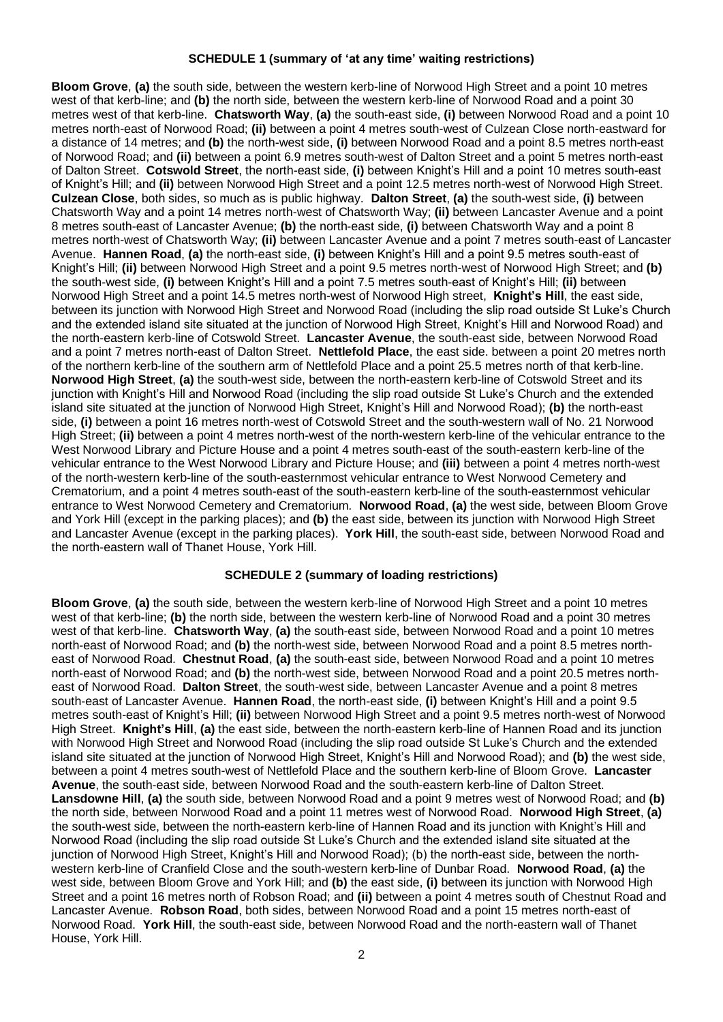## **SCHEDULE 1 (summary of 'at any time' waiting restrictions)**

**Bloom Grove**, **(a)** the south side, between the western kerb-line of Norwood High Street and a point 10 metres west of that kerb-line; and **(b)** the north side, between the western kerb-line of Norwood Road and a point 30 metres west of that kerb-line. **Chatsworth Way**, **(a)** the south-east side, **(i)** between Norwood Road and a point 10 metres north-east of Norwood Road; **(ii)** between a point 4 metres south-west of Culzean Close north-eastward for a distance of 14 metres; and **(b)** the north-west side, **(i)** between Norwood Road and a point 8.5 metres north-east of Norwood Road; and **(ii)** between a point 6.9 metres south-west of Dalton Street and a point 5 metres north-east of Dalton Street. **Cotswold Street**, the north-east side, **(i)** between Knight's Hill and a point 10 metres south-east of Knight's Hill; and **(ii)** between Norwood High Street and a point 12.5 metres north-west of Norwood High Street. **Culzean Close**, both sides, so much as is public highway. **Dalton Street**, **(a)** the south-west side, **(i)** between Chatsworth Way and a point 14 metres north-west of Chatsworth Way; **(ii)** between Lancaster Avenue and a point 8 metres south-east of Lancaster Avenue; **(b)** the north-east side, **(i)** between Chatsworth Way and a point 8 metres north-west of Chatsworth Way; **(ii)** between Lancaster Avenue and a point 7 metres south-east of Lancaster Avenue. **Hannen Road**, **(a)** the north-east side, **(i)** between Knight's Hill and a point 9.5 metres south-east of Knight's Hill; **(ii)** between Norwood High Street and a point 9.5 metres north-west of Norwood High Street; and **(b)**  the south-west side, **(i)** between Knight's Hill and a point 7.5 metres south-east of Knight's Hill; **(ii)** between Norwood High Street and a point 14.5 metres north-west of Norwood High street, **Knight's Hill**, the east side, between its junction with Norwood High Street and Norwood Road (including the slip road outside St Luke's Church and the extended island site situated at the junction of Norwood High Street, Knight's Hill and Norwood Road) and the north-eastern kerb-line of Cotswold Street. **Lancaster Avenue**, the south-east side, between Norwood Road and a point 7 metres north-east of Dalton Street. **Nettlefold Place**, the east side. between a point 20 metres north of the northern kerb-line of the southern arm of Nettlefold Place and a point 25.5 metres north of that kerb-line. **Norwood High Street**, **(a)** the south-west side, between the north-eastern kerb-line of Cotswold Street and its junction with Knight's Hill and Norwood Road (including the slip road outside St Luke's Church and the extended island site situated at the junction of Norwood High Street, Knight's Hill and Norwood Road); **(b)** the north-east side, **(i)** between a point 16 metres north-west of Cotswold Street and the south-western wall of No. 21 Norwood High Street; **(ii)** between a point 4 metres north-west of the north-western kerb-line of the vehicular entrance to the West Norwood Library and Picture House and a point 4 metres south-east of the south-eastern kerb-line of the vehicular entrance to the West Norwood Library and Picture House; and **(iii)** between a point 4 metres north-west of the north-western kerb-line of the south-easternmost vehicular entrance to West Norwood Cemetery and Crematorium, and a point 4 metres south-east of the south-eastern kerb-line of the south-easternmost vehicular entrance to West Norwood Cemetery and Crematorium. **Norwood Road**, **(a)** the west side, between Bloom Grove and York Hill (except in the parking places); and **(b)** the east side, between its junction with Norwood High Street and Lancaster Avenue (except in the parking places). **York Hill**, the south-east side, between Norwood Road and the north-eastern wall of Thanet House, York Hill.

#### **SCHEDULE 2 (summary of loading restrictions)**

**Bloom Grove**, **(a)** the south side, between the western kerb-line of Norwood High Street and a point 10 metres west of that kerb-line; **(b)** the north side, between the western kerb-line of Norwood Road and a point 30 metres west of that kerb-line. **Chatsworth Way**, **(a)** the south-east side, between Norwood Road and a point 10 metres north-east of Norwood Road; and **(b)** the north-west side, between Norwood Road and a point 8.5 metres northeast of Norwood Road. **Chestnut Road**, **(a)** the south-east side, between Norwood Road and a point 10 metres north-east of Norwood Road; and **(b)** the north-west side, between Norwood Road and a point 20.5 metres northeast of Norwood Road. **Dalton Street**, the south-west side, between Lancaster Avenue and a point 8 metres south-east of Lancaster Avenue. **Hannen Road**, the north-east side, **(i)** between Knight's Hill and a point 9.5 metres south-east of Knight's Hill; **(ii)** between Norwood High Street and a point 9.5 metres north-west of Norwood High Street. **Knight's Hill**, **(a)** the east side, between the north-eastern kerb-line of Hannen Road and its junction with Norwood High Street and Norwood Road (including the slip road outside St Luke's Church and the extended island site situated at the junction of Norwood High Street, Knight's Hill and Norwood Road); and **(b)** the west side, between a point 4 metres south-west of Nettlefold Place and the southern kerb-line of Bloom Grove. **Lancaster Avenue**, the south-east side, between Norwood Road and the south-eastern kerb-line of Dalton Street. **Lansdowne Hill**, **(a)** the south side, between Norwood Road and a point 9 metres west of Norwood Road; and **(b)** the north side, between Norwood Road and a point 11 metres west of Norwood Road. **Norwood High Street**, **(a)** the south-west side, between the north-eastern kerb-line of Hannen Road and its junction with Knight's Hill and Norwood Road (including the slip road outside St Luke's Church and the extended island site situated at the junction of Norwood High Street, Knight's Hill and Norwood Road); (b) the north-east side, between the northwestern kerb-line of Cranfield Close and the south-western kerb-line of Dunbar Road. **Norwood Road**, **(a)** the west side, between Bloom Grove and York Hill; and **(b)** the east side, **(i)** between its junction with Norwood High Street and a point 16 metres north of Robson Road; and **(ii)** between a point 4 metres south of Chestnut Road and Lancaster Avenue. **Robson Road**, both sides, between Norwood Road and a point 15 metres north-east of Norwood Road. **York Hill**, the south-east side, between Norwood Road and the north-eastern wall of Thanet House, York Hill.